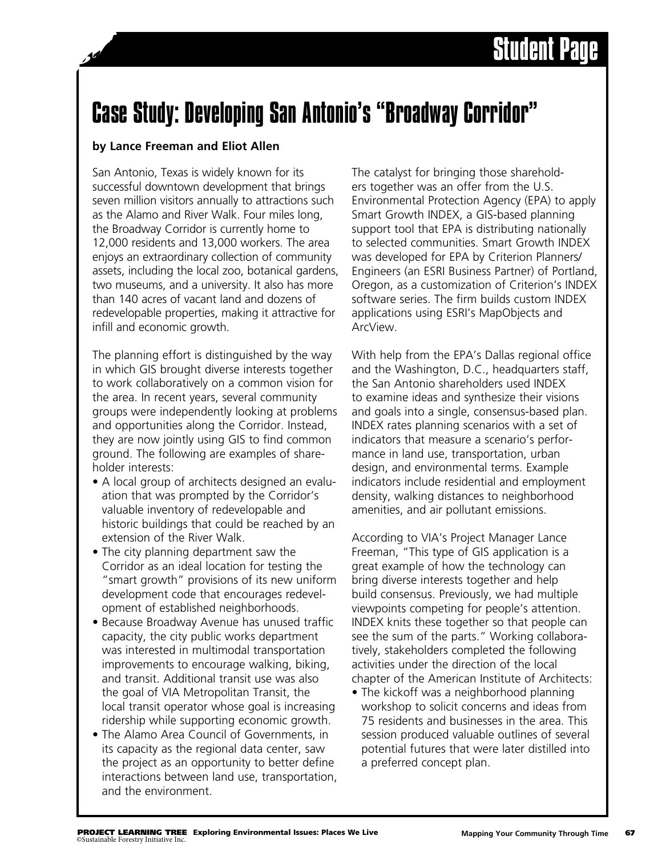## Case Study: Developing San Antonio's "Broadway Corridor"

### **by Lance Freeman and Eliot Allen**

San Antonio, Texas is widely known for its successful downtown development that brings seven million visitors annually to attractions such as the Alamo and River Walk. Four miles long, the Broadway Corridor is currently home to 12,000 residents and 13,000 workers. The area enjoys an extraordinary collection of community assets, including the local zoo, botanical gardens, two museums, and a university. It also has more than 140 acres of vacant land and dozens of redevelopable properties, making it attractive for infill and economic growth.

The planning effort is distinguished by the way in which GIS brought diverse interests together to work collaboratively on a common vision for the area. In recent years, several community groups were independently looking at problems and opportunities along the Corridor. Instead, they are now jointly using GIS to find common ground. The following are examples of shareholder interests:

- A local group of architects designed an evaluation that was prompted by the Corridor's valuable inventory of redevelopable and historic buildings that could be reached by an extension of the River Walk.
- The city planning department saw the Corridor as an ideal location for testing the "smart growth" provisions of its new uniform development code that encourages redevelopment of established neighborhoods.
- Because Broadway Avenue has unused traffic capacity, the city public works department was interested in multimodal transportation improvements to encourage walking, biking, and transit. Additional transit use was also the goal of VIA Metropolitan Transit, the local transit operator whose goal is increasing ridership while supporting economic growth.
- The Alamo Area Council of Governments, in its capacity as the regional data center, saw the project as an opportunity to better define interactions between land use, transportation, and the environment.

The catalyst for bringing those shareholders together was an offer from the U.S. Environmental Protection Agency (EPA) to apply Smart Growth INDEX, a GIS-based planning support tool that EPA is distributing nationally to selected communities. Smart Growth INDEX was developed for EPA by Criterion Planners/ Engineers (an ESRI Business Partner) of Portland, Oregon, as a customization of Criterion's INDEX software series. The firm builds custom INDEX applications using ESRI's MapObjects and ArcView.

With help from the EPA's Dallas regional office and the Washington, D.C., headquarters staff, the San Antonio shareholders used INDEX to examine ideas and synthesize their visions and goals into a single, consensus-based plan. INDEX rates planning scenarios with a set of indicators that measure a scenario's performance in land use, transportation, urban design, and environmental terms. Example indicators include residential and employment density, walking distances to neighborhood amenities, and air pollutant emissions.

According to VIA's Project Manager Lance Freeman, "This type of GIS application is a great example of how the technology can bring diverse interests together and help build consensus. Previously, we had multiple viewpoints competing for people's attention. INDEX knits these together so that people can see the sum of the parts." Working collaboratively, stakeholders completed the following activities under the direction of the local chapter of the American Institute of Architects:

• The kickoff was a neighborhood planning workshop to solicit concerns and ideas from 75 residents and businesses in the area. This session produced valuable outlines of several potential futures that were later distilled into a preferred concept plan.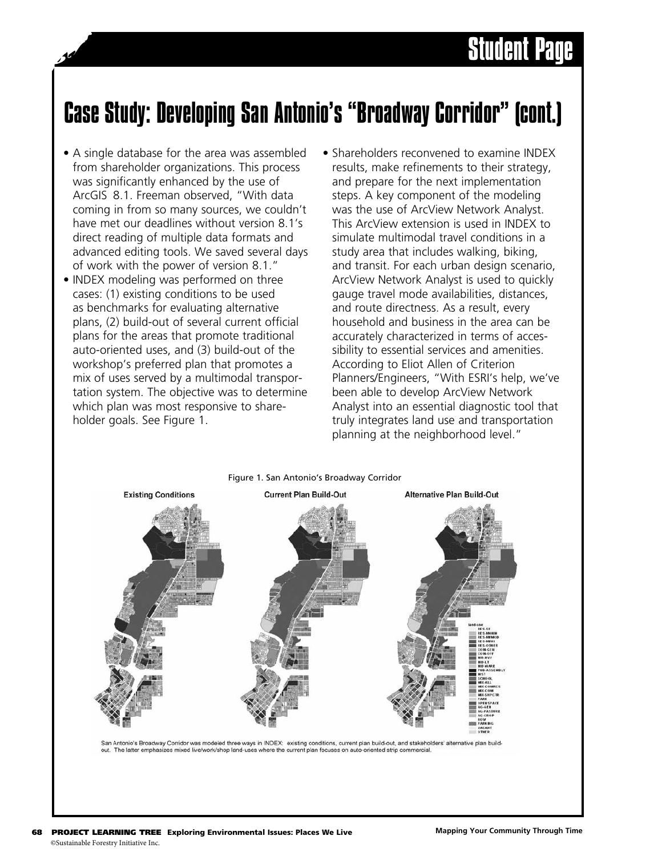# Case Study: Developing San Antonio's "Broadway Corridor" (cont.)

- A single database for the area was assembled from shareholder organizations. This process was significantly enhanced by the use of ArcGIS 8.1. Freeman observed, "With data coming in from so many sources, we couldn't have met our deadlines without version 8.1's direct reading of multiple data formats and advanced editing tools. We saved several days of work with the power of version 8.1."
- INDEX modeling was performed on three cases: (1) existing conditions to be used as benchmarks for evaluating alternative plans, (2) build-out of several current official plans for the areas that promote traditional auto-oriented uses, and (3) build-out of the workshop's preferred plan that promotes a mix of uses served by a multimodal transportation system. The objective was to determine which plan was most responsive to shareholder goals. See Figure 1.
- Shareholders reconvened to examine INDEX results, make refinements to their strategy, and prepare for the next implementation steps. A key component of the modeling was the use of ArcView Network Analyst. This ArcView extension is used in INDEX to simulate multimodal travel conditions in a study area that includes walking, biking, and transit. For each urban design scenario, ArcView Network Analyst is used to quickly gauge travel mode availabilities, distances, and route directness. As a result, every household and business in the area can be accurately characterized in terms of accessibility to essential services and amenities. According to Eliot Allen of Criterion Planners/Engineers, "With ESRI's help, we've been able to develop ArcView Network Analyst into an essential diagnostic tool that truly integrates land use and transportation planning at the neighborhood level."